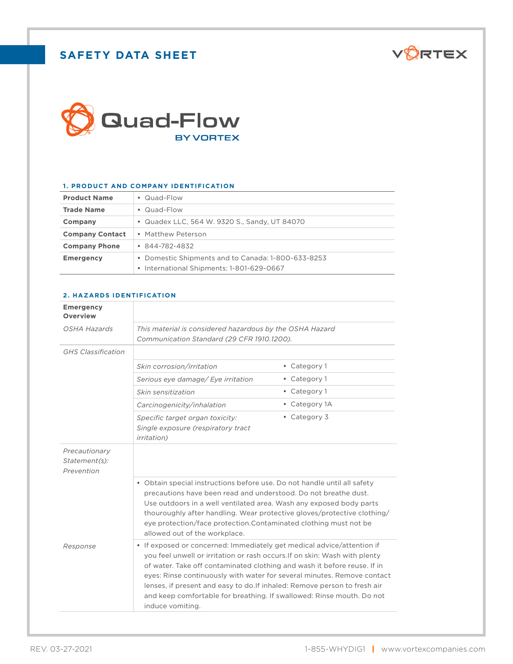# **SAFETY DATA SHEET**





### **1. PRODUCT AND COMPANY IDENTIFICATION**

| <b>Product Name</b>    | • Quad-Flow                                                                                     |
|------------------------|-------------------------------------------------------------------------------------------------|
| <b>Trade Name</b>      | • Quad-Flow                                                                                     |
| Company                | • Quadex LLC, 564 W. 9320 S., Sandy, UT 84070                                                   |
| <b>Company Contact</b> | • Matthew Peterson                                                                              |
| <b>Company Phone</b>   | $\bullet$ 844-782-4832                                                                          |
| <b>Emergency</b>       | • Domestic Shipments and to Canada: 1-800-633-8253<br>• International Shipments: 1-801-629-0667 |

## **2. HAZARDS IDENTIFICATION**

| <b>Emergency</b><br><b>Overview</b>          |                                                                                                                                                                                                                                                                                                                                                                                                                                                                                       |               |
|----------------------------------------------|---------------------------------------------------------------------------------------------------------------------------------------------------------------------------------------------------------------------------------------------------------------------------------------------------------------------------------------------------------------------------------------------------------------------------------------------------------------------------------------|---------------|
| OSHA Hazards                                 | This material is considered hazardous by the OSHA Hazard<br>Communication Standard (29 CFR 1910.1200).                                                                                                                                                                                                                                                                                                                                                                                |               |
| <b>GHS</b> Classification                    |                                                                                                                                                                                                                                                                                                                                                                                                                                                                                       |               |
|                                              | Skin corrosion/irritation                                                                                                                                                                                                                                                                                                                                                                                                                                                             | • Category 1  |
|                                              | Serious eye damage/ Eye irritation                                                                                                                                                                                                                                                                                                                                                                                                                                                    | • Category 1  |
|                                              | Skin sensitization                                                                                                                                                                                                                                                                                                                                                                                                                                                                    | • Category 1  |
|                                              | Carcinogenicity/inhalation                                                                                                                                                                                                                                                                                                                                                                                                                                                            | • Category 1A |
|                                              | Specific target organ toxicity:<br>Single exposure (respiratory tract<br><i>irritation</i> )                                                                                                                                                                                                                                                                                                                                                                                          | • Category 3  |
| Precautionary<br>Statement(s):<br>Prevention |                                                                                                                                                                                                                                                                                                                                                                                                                                                                                       |               |
|                                              | • Obtain special instructions before use. Do not handle until all safety<br>precautions have been read and understood. Do not breathe dust.<br>Use outdoors in a well ventilated area. Wash any exposed body parts<br>thouroughly after handling. Wear protective gloves/protective clothing/<br>eye protection/face protection.Contaminated clothing must not be<br>allowed out of the workplace.                                                                                    |               |
| Response                                     | • If exposed or concerned: Immediately get medical advice/attention if<br>you feel unwell or irritation or rash occurs. If on skin: Wash with plenty<br>of water. Take off contaminated clothing and wash it before reuse. If in<br>eyes: Rinse continuously with water for several minutes. Remove contact<br>lenses, if present and easy to do. If inhaled: Remove person to fresh air<br>and keep comfortable for breathing. If swallowed: Rinse mouth. Do not<br>induce vomiting. |               |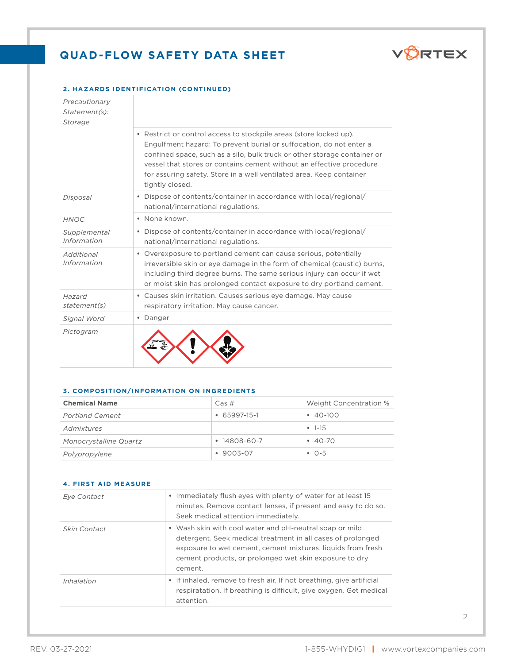

### **2. HAZARDS IDENTIFICATION (CONTINUED)**

| Precautionary<br>Statement(s):<br>Storage |                                                                                                                                                                                                                                                                                                                                                                                          |
|-------------------------------------------|------------------------------------------------------------------------------------------------------------------------------------------------------------------------------------------------------------------------------------------------------------------------------------------------------------------------------------------------------------------------------------------|
|                                           | • Restrict or control access to stockpile areas (store locked up).<br>Engulfment hazard: To prevent burial or suffocation, do not enter a<br>confined space, such as a silo, bulk truck or other storage container or<br>vessel that stores or contains cement without an effective procedure<br>for assuring safety. Store in a well ventilated area. Keep container<br>tightly closed. |
| Disposal                                  | • Dispose of contents/container in accordance with local/regional/<br>national/international regulations.                                                                                                                                                                                                                                                                                |
| <b>HNOC</b>                               | • None known.                                                                                                                                                                                                                                                                                                                                                                            |
| Supplemental<br>Information               | • Dispose of contents/container in accordance with local/regional/<br>national/international regulations.                                                                                                                                                                                                                                                                                |
| Additional<br>Information                 | • Overexposure to portland cement can cause serious, potentially<br>irreversible skin or eye damage in the form of chemical (caustic) burns,<br>including third degree burns. The same serious injury can occur if wet<br>or moist skin has prolonged contact exposure to dry portland cement.                                                                                           |
| Hazard<br>statement(s)                    | • Causes skin irritation. Causes serious eye damage. May cause<br>respiratory irritation. May cause cancer.                                                                                                                                                                                                                                                                              |
| Signal Word                               | • Danger                                                                                                                                                                                                                                                                                                                                                                                 |
| Pictogram                                 |                                                                                                                                                                                                                                                                                                                                                                                          |

#### **3. COMPOSITION/INFORMATION ON INGREDIENTS**

| <b>Chemical Name</b>   | Cas#               | Weight Concentration % |
|------------------------|--------------------|------------------------|
| <b>Portland Cement</b> | 65997-15-1         | $-40-100$              |
| Admixtures             |                    | $-1-15$                |
| Monocrystalline Quartz | $\cdot$ 14808-60-7 | $-40-70$               |
| Polypropylene          | 9003-07            | $\cdot$ 0-5            |

# **4. FIRST AID MEASURE**

| Eye Contact         | • Immediately flush eyes with plenty of water for at least 15<br>minutes. Remove contact lenses, if present and easy to do so.<br>Seek medical attention immediately.                                                                                      |
|---------------------|------------------------------------------------------------------------------------------------------------------------------------------------------------------------------------------------------------------------------------------------------------|
| <i>Skin Contact</i> | • Wash skin with cool water and pH-neutral soap or mild<br>detergent. Seek medical treatment in all cases of prolonged<br>exposure to wet cement, cement mixtures, liquids from fresh<br>cement products, or prolonged wet skin exposure to dry<br>cement. |
| Inhalation          | • If inhaled, remove to fresh air. If not breathing, give artificial<br>respiratation. If breathing is difficult, give oxygen. Get medical<br>attention.                                                                                                   |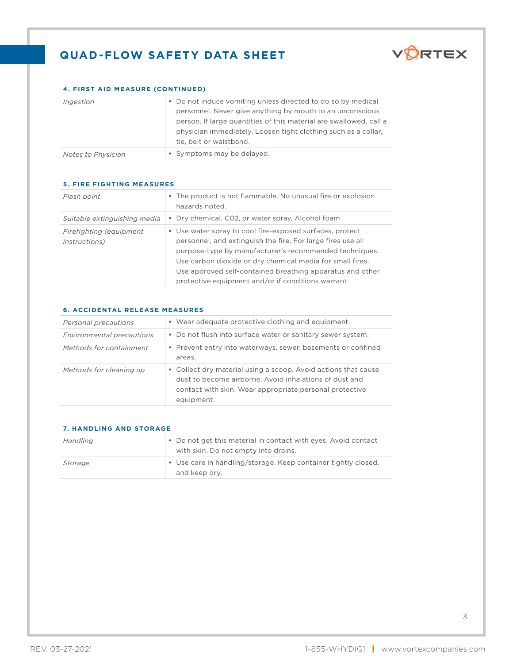

# **4. FIRST AID MEASURE (CONTINUED)**

| Ingestion                 | • Do not induce vomiting unless directed to do so by medical<br>personnel. Never give anything by mouth to an unconscious<br>person. If large quantities of this material are swallowed, call a<br>physician immediately. Loosen tight clothing such as a collar,<br>tie, belt or waistband. |
|---------------------------|----------------------------------------------------------------------------------------------------------------------------------------------------------------------------------------------------------------------------------------------------------------------------------------------|
| <b>Notes to Physician</b> | • Symptoms may be delayed.                                                                                                                                                                                                                                                                   |

| Flash point                                      | • The product is not flammable. No unusual fire or explosion<br>hazards noted.                                                                                                                                                                                                                                                                                    |
|--------------------------------------------------|-------------------------------------------------------------------------------------------------------------------------------------------------------------------------------------------------------------------------------------------------------------------------------------------------------------------------------------------------------------------|
| Suitable extinguishing media                     | • Dry chemical, C02, or water spray, Alcohol foam                                                                                                                                                                                                                                                                                                                 |
| Firefighting (equipment<br><i>instructions</i> ) | • Use water spray to cool fire-exposed surfaces, protect<br>personnel, and extinguish the fire. For large fires use all<br>purpose-type by manufacturer's recommended techniques.<br>Use carbon dioxide or dry chemical media for small fires.<br>Use approved self-contained breathing apparatus and other<br>protective equipment and/or if conditions warrant. |

# **5. FIRE FIGHTING MEASURES**

#### **6. ACCIDENTAL RELEASE MEASURES**

| Personal precautions      | • Wear adequate protective clothing and equipment.                                                                                                                                                |
|---------------------------|---------------------------------------------------------------------------------------------------------------------------------------------------------------------------------------------------|
| Environmental precautions | • Do not flush into surface water or sanitary sewer system.                                                                                                                                       |
| Methods for containment   | • Prevent entry into waterways, sewer, basements or confined<br>areas.                                                                                                                            |
| Methods for cleaning up   | • Collect dry material using a scoop. Avoid actions that cause<br>dust to become airborne. Avoid inhalations of dust and<br>contact with skin. Wear appropriate personal protective<br>equipment. |

| <b>7. HANDLING AND STORAGE</b> |                                                                                                        |
|--------------------------------|--------------------------------------------------------------------------------------------------------|
| Handling                       | • Do not get this material in contact with eyes. Avoid contact<br>with skin. Do not empty into drains. |
| Storage                        | • Use care in handling/storage. Keep container tightly closed,<br>and keep dry.                        |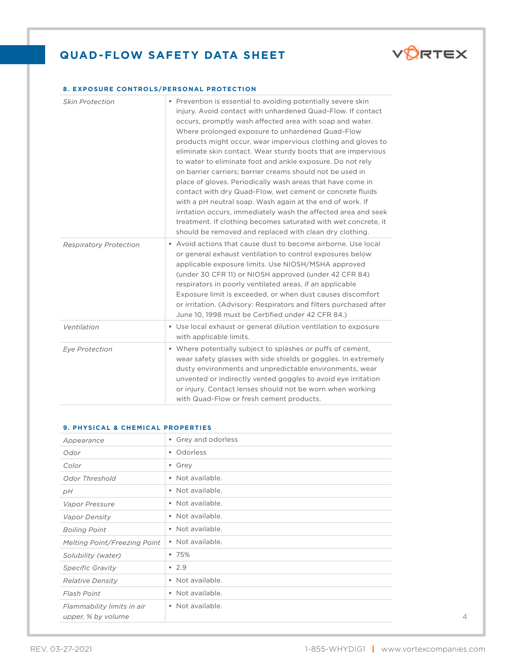

### **8. EXPOSURE CONTROLS/PERSONAL PROTECTION**

| <b>Skin Protection</b>        | • Prevention is essential to avoiding potentially severe skin<br>injury. Avoid contact with unhardened Quad-Flow. If contact<br>occurs, promptly wash affected area with soap and water.<br>Where prolonged exposure to unhardened Quad-Flow<br>products might occur, wear impervious clothing and gloves to<br>eliminate skin contact. Wear sturdy boots that are impervious<br>to water to eliminate foot and ankle exposure. Do not rely<br>on barrier carriers: barrier creams should not be used in<br>place of gloves. Periodically wash areas that have come in<br>contact with dry Quad-Flow, wet cement or concrete fluids<br>with a pH neutral soap. Wash again at the end of work. If<br>irritation occurs, immediately wash the affected area and seek<br>treatment. If clothing becomes saturated with wet concrete, it<br>should be removed and replaced with clean dry clothing. |
|-------------------------------|-------------------------------------------------------------------------------------------------------------------------------------------------------------------------------------------------------------------------------------------------------------------------------------------------------------------------------------------------------------------------------------------------------------------------------------------------------------------------------------------------------------------------------------------------------------------------------------------------------------------------------------------------------------------------------------------------------------------------------------------------------------------------------------------------------------------------------------------------------------------------------------------------|
| <b>Respiratory Protection</b> | • Avoid actions that cause dust to become airborne. Use local<br>or general exhaust ventilation to control exposures below<br>applicable exposure limits. Use NIOSH/MSHA approved<br>(under 30 CFR 11) or NIOSH approved (under 42 CFR 84)<br>respirators in poorly ventilated areas, if an applicable<br>Exposure limit is exceeded, or when dust causes discomfort<br>or irritation. (Advisory: Respirators and filters purchased after<br>June 10, 1998 must be Certified under 42 CFR 84.)                                                                                                                                                                                                                                                                                                                                                                                                  |
| Ventilation                   | • Use local exhaust or general dilution ventilation to exposure<br>with applicable limits.                                                                                                                                                                                                                                                                                                                                                                                                                                                                                                                                                                                                                                                                                                                                                                                                      |
| <b>Eye Protection</b>         | • Where potentially subject to splashes or puffs of cement,<br>wear safety glasses with side shields or goggles. In extremely<br>dusty environments and unpredictable environments, wear<br>unvented or indirectly vented goggles to avoid eye irritation<br>or injury. Contact lenses should not be worn when working<br>with Quad-Flow or fresh cement products.                                                                                                                                                                                                                                                                                                                                                                                                                                                                                                                              |

#### **9. PHYSICAL & CHEMICAL PROPERTIES**

| Appearance                                       | • Grey and odorless |
|--------------------------------------------------|---------------------|
| Odor                                             | • Odorless          |
| Color                                            | • Grey              |
| Odor Threshold                                   | • Not available.    |
| рH                                               | • Not available.    |
| Vapor Pressure                                   | • Not available.    |
| <i>Vapor Density</i>                             | • Not available.    |
| <b>Boiling Point</b>                             | • Not available.    |
| <b>Melting Point/Freezing Point</b>              | • Not available.    |
| Solubility (water)                               | •75%                |
| <b>Specific Gravity</b>                          | • 2.9               |
| <b>Relative Density</b>                          | • Not available.    |
| Flash Point                                      | • Not available.    |
| Flammability limits in air<br>upper, % by volume | • Not available.    |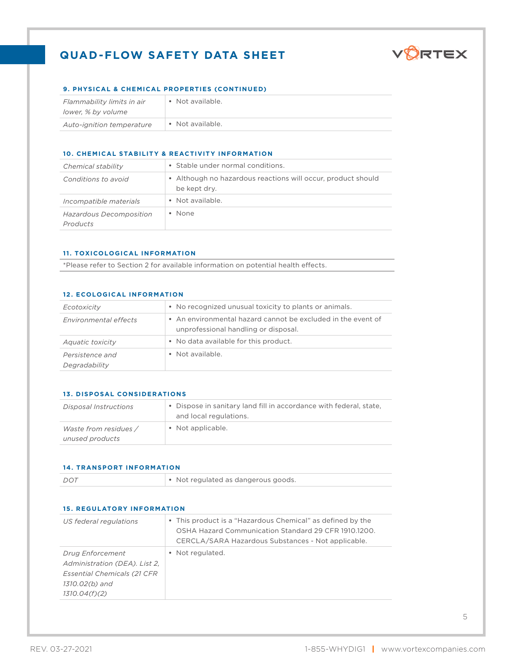

## **9. PHYSICAL & CHEMICAL PROPERTIES (CONTINUED)**

| Flammability limits in air | • Not available. |
|----------------------------|------------------|
| lower. % by volume         |                  |
| Auto-ignition temperature  | • Not available. |

## **10. CHEMICAL STABILITY & REACTIVITY INFORMATION**

| Chemical stability                         | • Stable under normal conditions.                                            |  |
|--------------------------------------------|------------------------------------------------------------------------------|--|
| Conditions to avoid                        | • Although no hazardous reactions will occur, product should<br>be kept dry. |  |
| Incompatible materials                     | • Not available.                                                             |  |
| <b>Hazardous Decomposition</b><br>Products | • None                                                                       |  |

### **11. TOXICOLOGICAL INFORMATION**

\*Please refer to Section 2 for available information on potential health effects.

#### **12. ECOLOGICAL INFORMATION**

| Ecotoxicity                      | • No recognized unusual toxicity to plants or animals.                                               |
|----------------------------------|------------------------------------------------------------------------------------------------------|
| Environmental effects            | • An environmental hazard cannot be excluded in the event of<br>unprofessional handling or disposal. |
| <i>Aquatic toxicity</i>          | • No data available for this product.                                                                |
| Persistence and<br>Degradability | • Not available.                                                                                     |

#### **13. DISPOSAL CONSIDERATIONS**

| <i>Disposal Instructions</i>             | • Dispose in sanitary land fill in accordance with federal, state,<br>and local regulations. |
|------------------------------------------|----------------------------------------------------------------------------------------------|
| Waste from residues /<br>unused products | • Not applicable.                                                                            |

#### **14. TRANSPORT INFORMATION**

| DOT | $\cdot$ Not regulated as dangerous goods. |
|-----|-------------------------------------------|
|     |                                           |

|  | <b>15. REGULATORY INFORMATION</b> |  |
|--|-----------------------------------|--|
|  |                                   |  |

| US federal regulations                                                                                                             | • This product is a "Hazardous Chemical" as defined by the<br>OSHA Hazard Communication Standard 29 CFR 1910.1200.<br>CERCLA/SARA Hazardous Substances - Not applicable. |
|------------------------------------------------------------------------------------------------------------------------------------|--------------------------------------------------------------------------------------------------------------------------------------------------------------------------|
| <b>Drug Enforcement</b><br>Administration (DEA). List 2.<br><b>Essential Chemicals (21 CFR)</b><br>1310.02(b) and<br>1310.04(f)(2) | • Not regulated.                                                                                                                                                         |